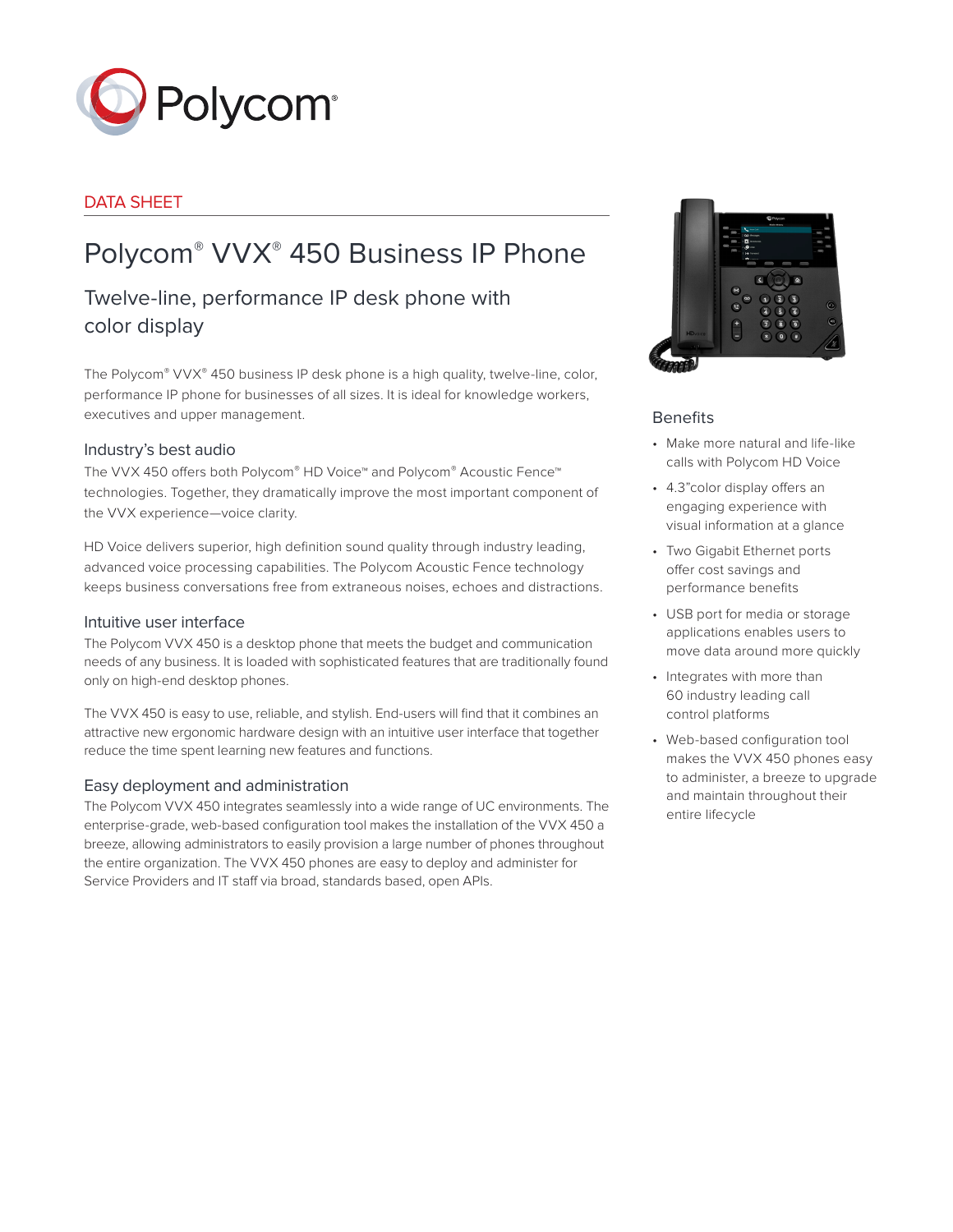

# DATA SHEET

# Polycom® VVX® 450 Business IP Phone

# Twelve-line, performance IP desk phone with color display

The Polycom® VVX® 450 business IP desk phone is a high quality, twelve-line, color, performance IP phone for businesses of all sizes. It is ideal for knowledge workers, executives and upper management.

# Industry's best audio

The VVX 450 offers both Polycom® HD Voice™ and Polycom® Acoustic Fence™ technologies. Together, they dramatically improve the most important component of the VVX experience—voice clarity.

HD Voice delivers superior, high definition sound quality through industry leading, advanced voice processing capabilities. The Polycom Acoustic Fence technology keeps business conversations free from extraneous noises, echoes and distractions.

# Intuitive user interface

The Polycom VVX 450 is a desktop phone that meets the budget and communication needs of any business. It is loaded with sophisticated features that are traditionally found only on high-end desktop phones.

The VVX 450 is easy to use, reliable, and stylish. End-users will find that it combines an attractive new ergonomic hardware design with an intuitive user interface that together reduce the time spent learning new features and functions.

# Easy deployment and administration

The Polycom VVX 450 integrates seamlessly into a wide range of UC environments. The enterprise-grade, web-based configuration tool makes the installation of the VVX 450 a breeze, allowing administrators to easily provision a large number of phones throughout the entire organization. The VVX 450 phones are easy to deploy and administer for Service Providers and IT staff via broad, standards based, open APIs.



# Benefits

- Make more natural and life-like calls with Polycom HD Voice
- 4.3"color display offers an engaging experience with visual information at a glance
- Two Gigabit Ethernet ports offer cost savings and performance benefits
- USB port for media or storage applications enables users to move data around more quickly
- Integrates with more than 60 industry leading call control platforms
- Web-based configuration tool makes the VVX 450 phones easy to administer, a breeze to upgrade and maintain throughout their entire lifecycle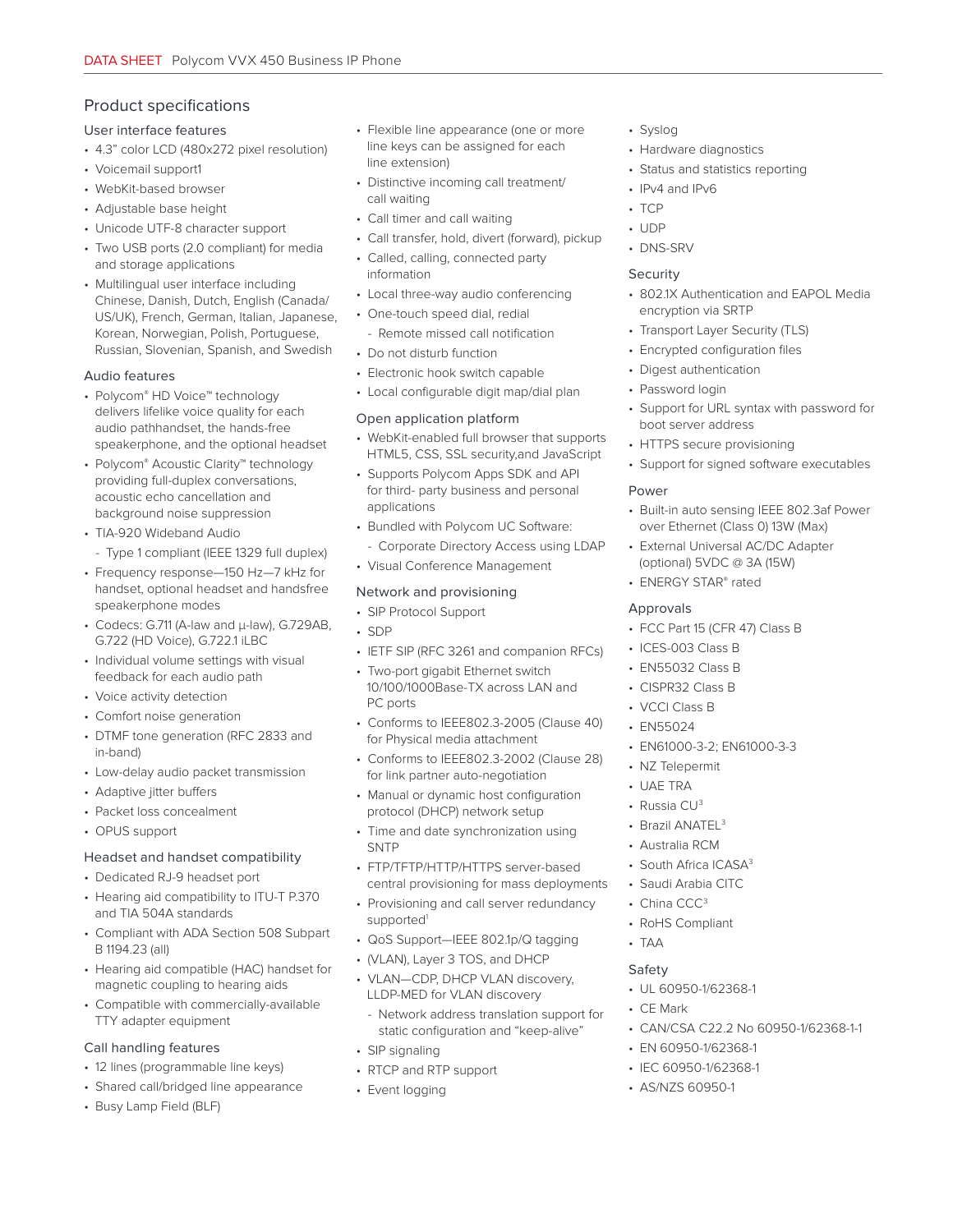# Product specifications User interface features

- 4.3" color LCD (480x272 pixel resolution)
- Voicemail support1
- WebKit-based browser
- Adjustable base height
- Unicode UTF-8 character support
- Two USB ports (2.0 compliant) for media and storage applications
- Multilingual user interface including Chinese, Danish, Dutch, English (Canada/ US/UK), French, German, Italian, Japanese, Korean, Norwegian, Polish, Portuguese, Russian, Slovenian, Spanish, and Swedish

#### Audio features

- Polycom® HD Voice™ technology delivers lifelike voice quality for each audio pathhandset, the hands-free speakerphone, and the optional headset
- Polycom® Acoustic Clarity™ technology providing full-duplex conversations, acoustic echo cancellation and background noise suppression
- TIA-920 Wideband Audio - Type 1 compliant (IEEE 1329 full duplex)
- Frequency response—150 Hz—7 kHz for handset, optional headset and handsfree speakerphone modes
- Codecs: G.711 (A-law and μ-law), G.729AB, G.722 (HD Voice), G.722.1 iLBC
- Individual volume settings with visual feedback for each audio path
- Voice activity detection
- Comfort noise generation
- DTMF tone generation (RFC 2833 and in-band)
- Low-delay audio packet transmission
- Adaptive jitter buffers
- Packet loss concealment
- OPUS support

#### Headset and handset compatibility

- Dedicated RJ-9 headset port
- Hearing aid compatibility to ITU-T P.370 and TIA 504A standards
- Compliant with ADA Section 508 Subpart B 1194.23 (all)
- Hearing aid compatible (HAC) handset for magnetic coupling to hearing aids
- Compatible with commercially-available TTY adapter equipment

#### Call handling features

- 12 lines (programmable line keys)
- Shared call/bridged line appearance
- Busy Lamp Field (BLF)
- Flexible line appearance (one or more line keys can be assigned for each line extension)
- Distinctive incoming call treatment/ call waiting
- Call timer and call waiting
- Call transfer, hold, divert (forward), pickup
- Called, calling, connected party information
- Local three-way audio conferencing
- One-touch speed dial, redial - Remote missed call notification
- Do not disturb function
- Electronic hook switch capable
- Local configurable digit map/dial plan

# Open application platform

- WebKit-enabled full browser that supports HTML5, CSS, SSL security,and JavaScript
- Supports Polycom Apps SDK and API for third- party business and personal applications
- Bundled with Polycom UC Software:
	- Corporate Directory Access using LDAP
- Visual Conference Management

# Network and provisioning

- SIP Protocol Support
- SDP
- IETF SIP (RFC 3261 and companion RFCs)
- Two-port gigabit Ethernet switch 10/100/1000Base-TX across LAN and PC ports
- Conforms to IEEE802.3-2005 (Clause 40) for Physical media attachment
- Conforms to IEEE802.3-2002 (Clause 28) for link partner auto-negotiation
- Manual or dynamic host configuration protocol (DHCP) network setup
- Time and date synchronization using **SNTP**
- FTP/TFTP/HTTP/HTTPS server-based central provisioning for mass deployments
- Provisioning and call server redundancy supported<sup>1</sup>
- QoS Support—IEEE 802.1p/Q tagging
- (VLAN), Layer 3 TOS, and DHCP
- VLAN—CDP, DHCP VLAN discovery, LLDP-MED for VLAN discovery
	- Network address translation support for static configuration and "keep-alive"
- SIP signaling
- RTCP and RTP support
- Event logging
- Syslog
- Hardware diagnostics
- Status and statistics reporting
- IPv4 and IPv6
- TCP
- UDP
- DNS-SRV

#### Security

- 802.1X Authentication and EAPOL Media encryption via SRTP
- Transport Layer Security (TLS)
- Encrypted configuration files
- Digest authentication
- Password login
- Support for URL syntax with password for boot server address
- HTTPS secure provisioning
- Support for signed software executables

#### Power

- Built-in auto sensing IEEE 802.3af Power over Ethernet (Class 0) 13W (Max)
- **External Universal AC/DC Adapter** (optional) 5VDC @ 3A (15W)
- ENERGY STAR® rated

## Approvals

- FCC Part 15 (CFR 47) Class B
- ICES-003 Class B
- EN55032 Class B
- CISPR32 Class B
- VCCI Class B
- EN55024
- EN61000-3-2; EN61000-3-3
- NZ Telepermit
- UAE TRA

• TAA Safety

• CE Mark

- Russia CU3
- Brazil ANATEL<sup>3</sup>

• South Africa ICASA<sup>3</sup> • Saudi Arabia CITC • China CCC<sup>3</sup> • RoHS Compliant

• UL 60950-1/62368-1

• EN 60950-1/62368-1 • IEC 60950-1/62368-1 • AS/NZS 60950-1

• CAN/CSA C22.2 No 60950-1/62368-1-1

• Australia RCM